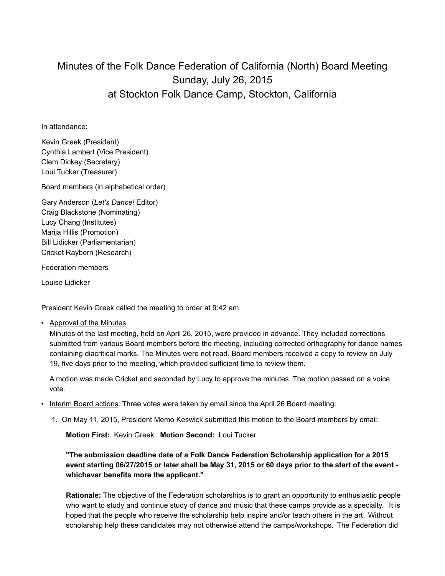## Minutes of the Folk Dance Federation of California (North) Board Meeting Sunday, July 26, 2015 at Stockton Folk Dance Camp, Stockton, California

In attendance:

Kevin Greek (President) Cynthia Lambert (Vice President) Clem Dickey (Secretary) Loui Tucker (Treasurer)

Board members (in alphabetical order)

Gary Anderson (*Let's Dance!* Editor) Craig Blackstone (Nominating) Lucy Chang (Institutes) Marija Hillis (Promotion) Bill Lidicker (Parliamentarian) Cricket Raybern (Research)

Federation members

Louise Lidicker

President Kevin Greek called the meeting to order at 9:42 am.

• Approval of the Minutes

Minutes of the last meeting, held on April 26, 2015, were provided in advance. They included corrections submitted from various Board members before the meeting, including corrected orthography for dance names containing diacritical marks. The Minutes were not read. Board members received a copy to review on July 19, five days prior to the meeting, which provided sufficient time to review them.

A motion was made Cricket and seconded by Lucy to approve the minutes. The motion passed on a voice vote.

- Interim Board actions: Three votes were taken by email since the April 26 Board meeting:
	- 1. On May 11, 2015, President Memo Keswick submitted this motion to the Board members by email:

**Motion First:** Kevin Greek. **Motion Second:** Loui Tucker

**"The submission deadline date of a Folk Dance Federation Scholarship application for a 2015 event starting 06/27/2015 or later shall be May 31, 2015 or 60 days prior to the start of the event whichever benefits more the applicant."**

**Rationale:** The objective of the Federation scholarships is to grant an opportunity to enthusiastic people who want to study and continue study of dance and music that these camps provide as a specialty. It is hoped that the people who receive the scholarship help inspire and/or teach others in the art. Without scholarship help these candidates may not otherwise attend the camps/workshops. The Federation did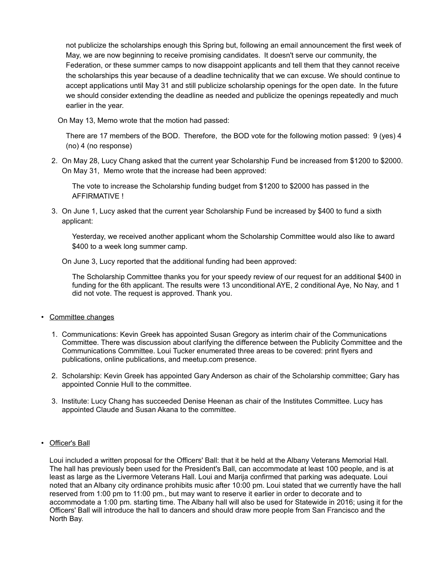not publicize the scholarships enough this Spring but, following an email announcement the first week of May, we are now beginning to receive promising candidates. It doesn't serve our community, the Federation, or these summer camps to now disappoint applicants and tell them that they cannot receive the scholarships this year because of a deadline technicality that we can excuse. We should continue to accept applications until May 31 and still publicize scholarship openings for the open date. In the future we should consider extending the deadline as needed and publicize the openings repeatedly and much earlier in the year.

On May 13, Memo wrote that the motion had passed:

There are 17 members of the BOD. Therefore, the BOD vote for the following motion passed: 9 (yes) 4 (no) 4 (no response)

2. On May 28, Lucy Chang asked that the current year Scholarship Fund be increased from \$1200 to \$2000. On May 31, Memo wrote that the increase had been approved:

The vote to increase the Scholarship funding budget from \$1200 to \$2000 has passed in the AFFIRMATIVE !

3. On June 1, Lucy asked that the current year Scholarship Fund be increased by \$400 to fund a sixth applicant:

Yesterday, we received another applicant whom the Scholarship Committee would also like to award \$400 to a week long summer camp.

On June 3, Lucy reported that the additional funding had been approved:

The Scholarship Committee thanks you for your speedy review of our request for an additional \$400 in funding for the 6th applicant. The results were 13 unconditional AYE, 2 conditional Aye, No Nay, and 1 did not vote. The request is approved. Thank you.

- Committee changes
	- 1. Communications: Kevin Greek has appointed Susan Gregory as interim chair of the Communications Committee. There was discussion about clarifying the difference between the Publicity Committee and the Communications Committee. Loui Tucker enumerated three areas to be covered: print flyers and publications, online publications, and meetup.com presence.
	- 2. Scholarship: Kevin Greek has appointed Gary Anderson as chair of the Scholarship committee; Gary has appointed Connie Hull to the committee.
	- 3. Institute: Lucy Chang has succeeded Denise Heenan as chair of the Institutes Committee. Lucy has appointed Claude and Susan Akana to the committee.
- Officer's Ball

Loui included a written proposal for the Officers' Ball: that it be held at the Albany Veterans Memorial Hall. The hall has previously been used for the President's Ball, can accommodate at least 100 people, and is at least as large as the Livermore Veterans Hall. Loui and Marija confirmed that parking was adequate. Loui noted that an Albany city ordinance prohibits music after 10:00 pm. Loui stated that we currently have the hall reserved from 1:00 pm to 11:00 pm., but may want to reserve it earlier in order to decorate and to accommodate a 1:00 pm. starting time. The Albany hall will also be used for Statewide in 2016; using it for the Officers' Ball will introduce the hall to dancers and should draw more people from San Francisco and the North Bay.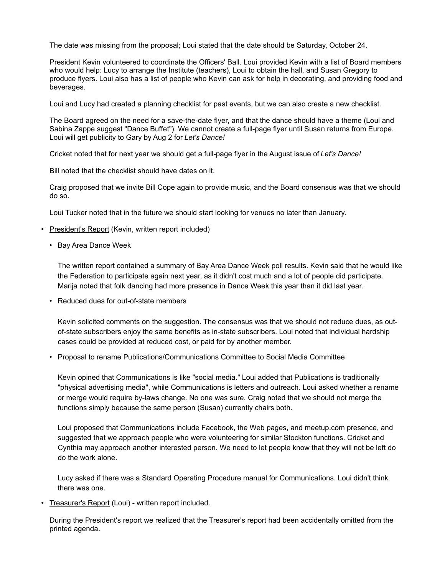The date was missing from the proposal; Loui stated that the date should be Saturday, October 24.

President Kevin volunteered to coordinate the Officers' Ball. Loui provided Kevin with a list of Board members who would help: Lucy to arrange the Institute (teachers), Loui to obtain the hall, and Susan Gregory to produce flyers. Loui also has a list of people who Kevin can ask for help in decorating, and providing food and beverages.

Loui and Lucy had created a planning checklist for past events, but we can also create a new checklist.

The Board agreed on the need for a save-the-date flyer, and that the dance should have a theme (Loui and Sabina Zappe suggest "Dance Buffet"). We cannot create a full-page flyer until Susan returns from Europe. Loui will get publicity to Gary by Aug 2 for *Let's Dance!*

Cricket noted that for next year we should get a full-page flyer in the August issue of *Let's Dance!*

Bill noted that the checklist should have dates on it.

Craig proposed that we invite Bill Cope again to provide music, and the Board consensus was that we should do so.

Loui Tucker noted that in the future we should start looking for venues no later than January.

- President's Report (Kevin, written report included)
	- Bay Area Dance Week

The written report contained a summary of Bay Area Dance Week poll results. Kevin said that he would like the Federation to participate again next year, as it didn't cost much and a lot of people did participate. Marija noted that folk dancing had more presence in Dance Week this year than it did last year.

• Reduced dues for out-of-state members

Kevin solicited comments on the suggestion. The consensus was that we should not reduce dues, as outof-state subscribers enjoy the same benefits as in-state subscribers. Loui noted that individual hardship cases could be provided at reduced cost, or paid for by another member.

• Proposal to rename Publications/Communications Committee to Social Media Committee

Kevin opined that Communications is like "social media." Loui added that Publications is traditionally "physical advertising media", while Communications is letters and outreach. Loui asked whether a rename or merge would require by-laws change. No one was sure. Craig noted that we should not merge the functions simply because the same person (Susan) currently chairs both.

Loui proposed that Communications include Facebook, the Web pages, and meetup.com presence, and suggested that we approach people who were volunteering for similar Stockton functions. Cricket and Cynthia may approach another interested person. We need to let people know that they will not be left do do the work alone.

Lucy asked if there was a Standard Operating Procedure manual for Communications. Loui didn't think there was one.

• Treasurer's Report (Loui) - written report included.

During the President's report we realized that the Treasurer's report had been accidentally omitted from the printed agenda.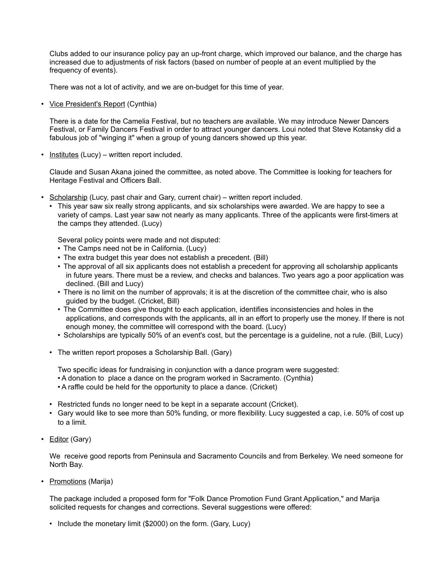Clubs added to our insurance policy pay an up-front charge, which improved our balance, and the charge has increased due to adjustments of risk factors (based on number of people at an event multiplied by the frequency of events).

There was not a lot of activity, and we are on-budget for this time of year.

• Vice President's Report (Cynthia)

There is a date for the Camelia Festival, but no teachers are available. We may introduce Newer Dancers Festival, or Family Dancers Festival in order to attract younger dancers. Loui noted that Steve Kotansky did a fabulous job of "winging it" when a group of young dancers showed up this year.

• Institutes (Lucy) – written report included.

Claude and Susan Akana joined the committee, as noted above. The Committee is looking for teachers for Heritage Festival and Officers Ball.

- Scholarship (Lucy, past chair and Gary, current chair) written report included.
	- This year saw six really strong applicants, and six scholarships were awarded. We are happy to see a variety of camps. Last year saw not nearly as many applicants. Three of the applicants were first-timers at the camps they attended. (Lucy)

Several policy points were made and not disputed:

- The Camps need not be in California. (Lucy)
- The extra budget this year does not establish a precedent. (Bill)
- The approval of all six applicants does not establish a precedent for approving all scholarship applicants in future years. There must be a review, and checks and balances. Two years ago a poor application was declined. (Bill and Lucy)
- There is no limit on the number of approvals; it is at the discretion of the committee chair, who is also guided by the budget. (Cricket, Bill)
- The Committee does give thought to each application, identifies inconsistencies and holes in the applications, and corresponds with the applicants, all in an effort to properly use the money. If there is not enough money, the committee will correspond with the board. (Lucy)
- Scholarships are typically 50% of an event's cost, but the percentage is a guideline, not a rule. (Bill, Lucy)
- The written report proposes a Scholarship Ball. (Gary)

Two specific ideas for fundraising in conjunction with a dance program were suggested:

- A donation to place a dance on the program worked in Sacramento. (Cynthia)
- A raffle could be held for the opportunity to place a dance. (Cricket)
- Restricted funds no longer need to be kept in a separate account (Cricket).
- Gary would like to see more than 50% funding, or more flexibility. Lucy suggested a cap, i.e. 50% of cost up to a limit.
- Editor (Gary)

We receive good reports from Peninsula and Sacramento Councils and from Berkeley. We need someone for North Bay.

• Promotions (Marija)

The package included a proposed form for "Folk Dance Promotion Fund Grant Application," and Marija solicited requests for changes and corrections. Several suggestions were offered:

• Include the monetary limit (\$2000) on the form. (Gary, Lucy)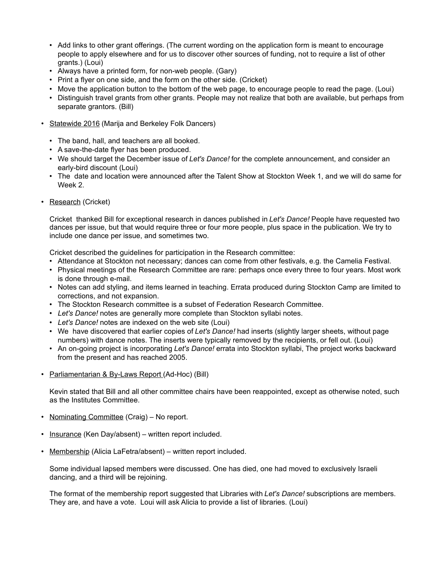- Add links to other grant offerings. (The current wording on the application form is meant to encourage people to apply elsewhere and for us to discover other sources of funding, not to require a list of other grants.) (Loui)
- Always have a printed form, for non-web people. (Gary)
- Print a flyer on one side, and the form on the other side. (Cricket)
- Move the application button to the bottom of the web page, to encourage people to read the page. (Loui)
- Distinguish travel grants from other grants. People may not realize that both are available, but perhaps from separate grantors. (Bill)
- Statewide 2016 (Marija and Berkeley Folk Dancers)
	- The band, hall, and teachers are all booked.
	- A save-the-date flyer has been produced.
	- We should target the December issue of *Let's Dance!* for the complete announcement, and consider an early-bird discount (Loui)
	- The date and location were announced after the Talent Show at Stockton Week 1, and we will do same for Week 2.
- Research (Cricket)

Cricket thanked Bill for exceptional research in dances published in *Let's Dance!* People have requested two dances per issue, but that would require three or four more people, plus space in the publication. We try to include one dance per issue, and sometimes two.

Cricket described the guidelines for participation in the Research committee:

- Attendance at Stockton not necessary; dances can come from other festivals, e.g. the Camelia Festival.
- Physical meetings of the Research Committee are rare: perhaps once every three to four years. Most work is done through e-mail.
- Notes can add styling, and items learned in teaching. Errata produced during Stockton Camp are limited to corrections, and not expansion.
- The Stockton Research committee is a subset of Federation Research Committee.
- *Let's Dance!* notes are generally more complete than Stockton syllabi notes.
- *Let's Dance!* notes are indexed on the web site (Loui)
- We have discovered that earlier copies of *Let's Dance!* had inserts (slightly larger sheets, without page numbers) with dance notes. The inserts were typically removed by the recipients, or fell out. (Loui)
- An on-going project is incorporating *Let's Dance!* errata into Stockton syllabi, The project works backward from the present and has reached 2005.
- Parliamentarian & By-Laws Report (Ad-Hoc) (Bill)

Kevin stated that Bill and all other committee chairs have been reappointed, except as otherwise noted, such as the Institutes Committee.

- Nominating Committee (Craig) No report.
- Insurance (Ken Day/absent) written report included.
- Membership (Alicia LaFetra/absent) written report included.

Some individual lapsed members were discussed. One has died, one had moved to exclusively Israeli dancing, and a third will be rejoining.

The format of the membership report suggested that Libraries with *Let's Dance!* subscriptions are members. They are, and have a vote. Loui will ask Alicia to provide a list of libraries. (Loui)